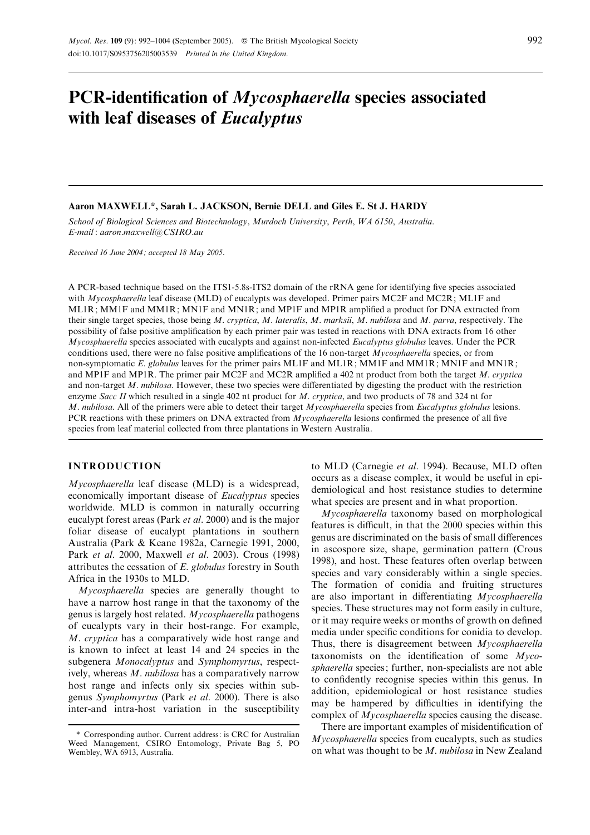# PCR-identification of Mycosphaerella species associated with leaf diseases of *Eucalyptus*

## Aaron MAXWELL\*, Sarah L. JACKSON, Bernie DELL and Giles E. St J. HARDY

School of Biological Sciences and Biotechnology, Murdoch University, Perth, WA 6150, Australia. E-mail : aaron.maxwell@CSIRO.au

Received 16 June 2004 ; accepted 18 May 2005.

A PCR-based technique based on the ITS1-5.8s-ITS2 domain of the rRNA gene for identifying five species associated with Mycosphaerella leaf disease (MLD) of eucalypts was developed. Primer pairs MC2F and MC2R; ML1F and ML1R; MM1F and MM1R; MN1F and MN1R; and MP1F and MP1R amplified a product for DNA extracted from their single target species, those being M. cryptica, M. lateralis, M. marksii, M. nubilosa and M. parva, respectively. The possibility of false positive amplification by each primer pair was tested in reactions with DNA extracts from 16 other Mycosphaerella species associated with eucalypts and against non-infected Eucalyptus globulus leaves. Under the PCR conditions used, there were no false positive amplifications of the 16 non-target Mycosphaerella species, or from non-symptomatic E. globulus leaves for the primer pairs ML1F and ML1R; MM1F and MM1R; MN1F and MN1R; and MP1F and MP1R. The primer pair MC2F and MC2R amplified a 402 nt product from both the target M. cryptica and non-target M. nubilosa. However, these two species were differentiated by digesting the product with the restriction enzyme Sacc II which resulted in a single 402 nt product for M. cryptica, and two products of 78 and 324 nt for M. nubilosa. All of the primers were able to detect their target Mycosphaerella species from Eucalyptus globulus lesions. PCR reactions with these primers on DNA extracted from *Mycosphaerella* lesions confirmed the presence of all five species from leaf material collected from three plantations in Western Australia.

## INTRODUCTION

Mycosphaerella leaf disease (MLD) is a widespread, economically important disease of Eucalyptus species worldwide. MLD is common in naturally occurring eucalypt forest areas (Park et al. 2000) and is the major foliar disease of eucalypt plantations in southern Australia (Park & Keane 1982a, Carnegie 1991, 2000, Park et al. 2000, Maxwell et al. 2003). Crous (1998) attributes the cessation of E. globulus forestry in South Africa in the 1930s to MLD.

Mycosphaerella species are generally thought to have a narrow host range in that the taxonomy of the genus is largely host related. Mycosphaerella pathogens of eucalypts vary in their host-range. For example, M. cryptica has a comparatively wide host range and is known to infect at least 14 and 24 species in the subgenera Monocalyptus and Symphomyrtus, respectively, whereas M. nubilosa has a comparatively narrow host range and infects only six species within subgenus Symphomyrtus (Park et al. 2000). There is also inter-and intra-host variation in the susceptibility to MLD (Carnegie et al. 1994). Because, MLD often occurs as a disease complex, it would be useful in epidemiological and host resistance studies to determine what species are present and in what proportion.

Mycosphaerella taxonomy based on morphological features is difficult, in that the 2000 species within this genus are discriminated on the basis of small differences in ascospore size, shape, germination pattern (Crous 1998), and host. These features often overlap between species and vary considerably within a single species. The formation of conidia and fruiting structures are also important in differentiating Mycosphaerella species. These structures may not form easily in culture, or it may require weeks or months of growth on defined media under specific conditions for conidia to develop. Thus, there is disagreement between Mycosphaerella taxonomists on the identification of some Mycosphaerella species; further, non-specialists are not able to confidently recognise species within this genus. In addition, epidemiological or host resistance studies may be hampered by difficulties in identifying the complex of Mycosphaerella species causing the disease.

There are important examples of misidentification of Mycosphaerella species from eucalypts, such as studies on what was thought to be M. nubilosa in New Zealand

<sup>\*</sup> Corresponding author. Current address: is CRC for Australian Weed Management, CSIRO Entomology, Private Bag 5, PO Wembley, WA 6913, Australia.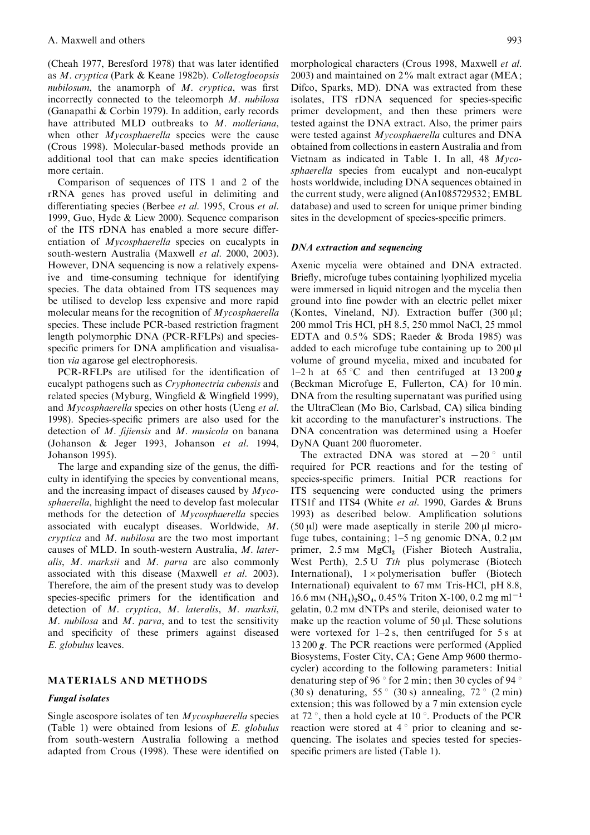(Cheah 1977, Beresford 1978) that was later identified as M. cryptica (Park & Keane 1982b). Colletogloeopsis nubilosum, the anamorph of  $M$ . cryptica, was first incorrectly connected to the teleomorph M. nubilosa (Ganapathi & Corbin 1979). In addition, early records have attributed MLD outbreaks to M. molleriana, when other *Mycosphaerella* species were the cause (Crous 1998). Molecular-based methods provide an additional tool that can make species identification more certain.

Comparison of sequences of ITS 1 and 2 of the rRNA genes has proved useful in delimiting and differentiating species (Berbee et al. 1995, Crous et al. 1999, Guo, Hyde & Liew 2000). Sequence comparison of the ITS rDNA has enabled a more secure differentiation of Mycosphaerella species on eucalypts in south-western Australia (Maxwell et al. 2000, 2003). However, DNA sequencing is now a relatively expensive and time-consuming technique for identifying species. The data obtained from ITS sequences may be utilised to develop less expensive and more rapid molecular means for the recognition of Mycosphaerella species. These include PCR-based restriction fragment length polymorphic DNA (PCR-RFLPs) and speciesspecific primers for DNA amplification and visualisation via agarose gel electrophoresis.

PCR-RFLPs are utilised for the identification of eucalypt pathogens such as Cryphonectria cubensis and related species (Myburg, Wingfield & Wingfield 1999), and Mycosphaerella species on other hosts (Ueng et al. 1998). Species-specific primers are also used for the detection of *M. fijiensis* and *M. musicola* on banana (Johanson & Jeger 1993, Johanson et al. 1994, Johanson 1995).

The large and expanding size of the genus, the difficulty in identifying the species by conventional means, and the increasing impact of diseases caused by  $Myco$ sphaerella, highlight the need to develop fast molecular methods for the detection of Mycosphaerella species associated with eucalypt diseases. Worldwide, M. cryptica and M. nubilosa are the two most important causes of MLD. In south-western Australia, M. lateralis, M. marksii and M. parva are also commonly associated with this disease (Maxwell et al. 2003). Therefore, the aim of the present study was to develop species-specific primers for the identification and detection of M. cryptica, M. lateralis, M. marksii, M. nubilosa and M. parva, and to test the sensitivity and specificity of these primers against diseased E. globulus leaves.

## MATERIALS AND METHODS

## Fungal isolates

Single ascospore isolates of ten Mycosphaerella species (Table 1) were obtained from lesions of E. globulus from south-western Australia following a method adapted from Crous (1998). These were identified on

morphological characters (Crous 1998, Maxwell et al. 2003) and maintained on 2% malt extract agar (MEA; Difco, Sparks, MD). DNA was extracted from these isolates, ITS rDNA sequenced for species-specific primer development, and then these primers were tested against the DNA extract. Also, the primer pairs were tested against Mycosphaerella cultures and DNA obtained from collections in eastern Australia and from Vietnam as indicated in Table 1. In all,  $48$   $Myco$ sphaerella species from eucalypt and non-eucalypt hosts worldwide, including DNA sequences obtained in the current study, were aligned (An1085729532; EMBL database) and used to screen for unique primer binding sites in the development of species-specific primers.

#### DNA extraction and sequencing

Axenic mycelia were obtained and DNA extracted. Briefly, microfuge tubes containing lyophilized mycelia were immersed in liquid nitrogen and the mycelia then ground into fine powder with an electric pellet mixer (Kontes, Vineland, NJ). Extraction buffer  $(300 \mu l)$ ; 200 mmol Tris HCl, pH 8.5, 250 mmol NaCl, 25 mmol EDTA and 0.5% SDS; Raeder & Broda 1985) was added to each microfuge tube containing up to 200 µl volume of ground mycelia, mixed and incubated for 1–2 h at 65 °C and then centrifuged at 13 200  $g$ (Beckman Microfuge E, Fullerton, CA) for 10 min. DNA from the resulting supernatant was purified using the UltraClean (Mo Bio, Carlsbad, CA) silica binding kit according to the manufacturer's instructions. The DNA concentration was determined using a Hoefer DyNA Quant 200 fluorometer.

The extracted DNA was stored at  $-20$  until required for PCR reactions and for the testing of species-specific primers. Initial PCR reactions for ITS sequencing were conducted using the primers ITS1f and ITS4 (White et al. 1990, Gardes & Bruns 1993) as described below. Amplification solutions  $(50 \mu l)$  were made aseptically in sterile 200  $\mu l$  microfuge tubes, containing;  $1-5$  ng genomic DNA,  $0.2 \mu M$ primer, 2.5 mm MgCl<sub>2</sub> (Fisher Biotech Australia, West Perth), 2.5 U Tth plus polymerase (Biotech International),  $1 \times$  polymerisation buffer (Biotech International) equivalent to 67 mm Tris-HCl, pH 8.8, 16.6 mm (NH<sub>4</sub>)<sub>2</sub>SO<sub>4</sub>, 0.45% Triton X-100, 0.2 mg ml<sup>-1</sup> gelatin, 0.2 mM dNTPs and sterile, deionised water to make up the reaction volume of 50  $\mu$ l. These solutions were vortexed for  $1-2$  s, then centrifuged for 5 s at 13 200 g. The PCR reactions were performed (Applied Biosystems, Foster City, CA; Gene Amp 9600 thermocycler) according to the following parameters: Initial denaturing step of 96 $\degree$  for 2 min; then 30 cycles of 94 $\degree$ (30 s) denaturing,  $55^{\circ}$  (30 s) annealing,  $72^{\circ}$  (2 min) extension; this was followed by a 7 min extension cycle at 72 $\degree$ , then a hold cycle at 10 $\degree$ . Products of the PCR reaction were stored at  $4^\circ$  prior to cleaning and sequencing. The isolates and species tested for speciesspecific primers are listed (Table 1).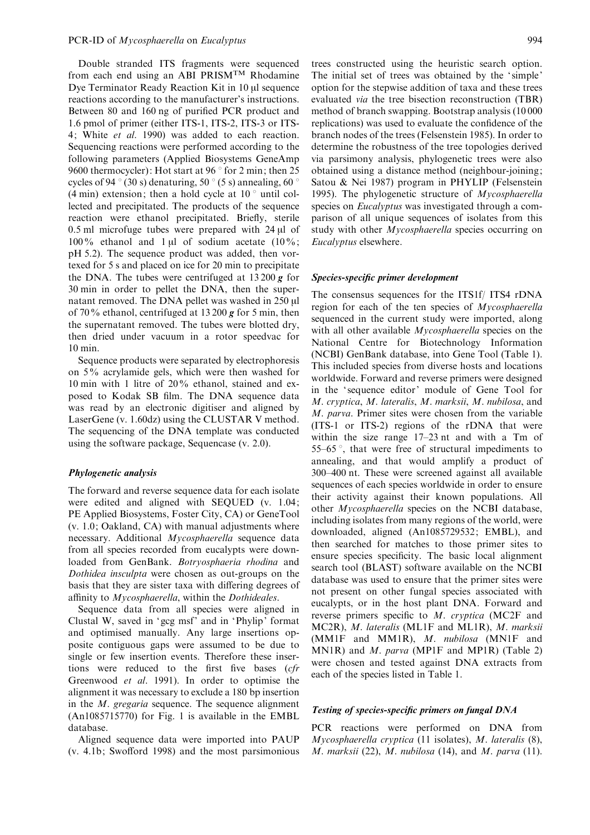Double stranded ITS fragments were sequenced from each end using an ABI PRISMTM Rhodamine Dye Terminator Ready Reaction Kit in 10 µl sequence reactions according to the manufacturer's instructions. Between 80 and 160 ng of purified PCR product and 1.6 pmol of primer (either ITS-1, ITS-2, ITS-3 or ITS-4; White et al. 1990) was added to each reaction. Sequencing reactions were performed according to the following parameters (Applied Biosystems GeneAmp 9600 thermocycler): Hot start at 96 $\degree$  for 2 min; then 25 cycles of 94  $\degree$  (30 s) denaturing, 50  $\degree$  (5 s) annealing, 60  $\degree$ (4 min) extension; then a hold cycle at  $10^{\circ}$  until collected and precipitated. The products of the sequence reaction were ethanol precipitated. Briefly, sterile  $0.5$  ml microfuge tubes were prepared with  $24 \mu l$  of 100% ethanol and 1  $\mu$ l of sodium acetate (10%; pH 5.2). The sequence product was added, then vortexed for 5 s and placed on ice for 20 min to precipitate the DNA. The tubes were centrifuged at  $13\,200\,\text{g}$  for 30 min in order to pellet the DNA, then the supernatant removed. The DNA pellet was washed in 250  $\mu$ of 70% ethanol, centrifuged at 13 200  $g$  for 5 min, then the supernatant removed. The tubes were blotted dry, then dried under vacuum in a rotor speedvac for 10 min.

Sequence products were separated by electrophoresis on 5% acrylamide gels, which were then washed for 10 min with 1 litre of 20% ethanol, stained and exposed to Kodak SB film. The DNA sequence data was read by an electronic digitiser and aligned by LaserGene (v. 1.60dz) using the CLUSTAR V method. The sequencing of the DNA template was conducted using the software package, Sequencase (v. 2.0).

## Phylogenetic analysis

The forward and reverse sequence data for each isolate were edited and aligned with SEQUED (v. 1.04; PE Applied Biosystems, Foster City, CA) or GeneTool (v. 1.0; Oakland, CA) with manual adjustments where necessary. Additional Mycosphaerella sequence data from all species recorded from eucalypts were downloaded from GenBank. Botryosphaeria rhodina and Dothidea insculpta were chosen as out-groups on the basis that they are sister taxa with differing degrees of affinity to Mycosphaerella, within the Dothideales.

Sequence data from all species were aligned in Clustal W, saved in 'gcg msf' and in 'Phylip' format and optimised manually. Any large insertions opposite contiguous gaps were assumed to be due to single or few insertion events. Therefore these insertions were reduced to the first five bases (cfr Greenwood et al. 1991). In order to optimise the alignment it was necessary to exclude a 180 bp insertion in the  $M$ , gregaria sequence. The sequence alignment (An1085715770) for Fig. 1 is available in the EMBL database.

Aligned sequence data were imported into PAUP (v. 4.1b; Swofford 1998) and the most parsimonious trees constructed using the heuristic search option. The initial set of trees was obtained by the 'simple' option for the stepwise addition of taxa and these trees evaluated via the tree bisection reconstruction (TBR) method of branch swapping. Bootstrap analysis (10 000 replications) was used to evaluate the confidence of the branch nodes of the trees (Felsenstein 1985). In order to determine the robustness of the tree topologies derived via parsimony analysis, phylogenetic trees were also obtained using a distance method (neighbour-joining; Satou & Nei 1987) program in PHYLIP (Felsenstein 1995). The phylogenetic structure of Mycosphaerella species on *Eucalyptus* was investigated through a comparison of all unique sequences of isolates from this study with other *Mycosphaerella* species occurring on Eucalyptus elsewhere.

#### Species-specific primer development

The consensus sequences for the ITS1f/ ITS4 rDNA region for each of the ten species of Mycosphaerella sequenced in the current study were imported, along with all other available *Mycosphaerella* species on the National Centre for Biotechnology Information (NCBI) GenBank database, into Gene Tool (Table 1). This included species from diverse hosts and locations worldwide. Forward and reverse primers were designed in the ' sequence editor' module of Gene Tool for M. cryptica, M. lateralis, M. marksii, M. nubilosa, and M. parva. Primer sites were chosen from the variable (ITS-1 or ITS-2) regions of the rDNA that were within the size range 17–23 nt and with a Tm of 55–65 $\degree$ , that were free of structural impediments to annealing, and that would amplify a product of 300–400 nt. These were screened against all available sequences of each species worldwide in order to ensure their activity against their known populations. All other Mycosphaerella species on the NCBI database, including isolates from many regions of the world, were downloaded, aligned (An1085729532; EMBL), and then searched for matches to those primer sites to ensure species specificity. The basic local alignment search tool (BLAST) software available on the NCBI database was used to ensure that the primer sites were not present on other fungal species associated with eucalypts, or in the host plant DNA. Forward and reverse primers specific to M. cryptica (MC2F and MC2R), M. lateralis (ML1F and ML1R), M. marksii (MM1F and MM1R), M. nubilosa (MN1F and MN1R) and *M. parva* (MP1F and MP1R) (Table 2) were chosen and tested against DNA extracts from each of the species listed in Table 1.

#### Testing of species-specific primers on fungal DNA

PCR reactions were performed on DNA from Mycosphaerella cryptica (11 isolates), M. lateralis (8), M. marksii  $(22)$ , M. nubilosa  $(14)$ , and M. parva  $(11)$ .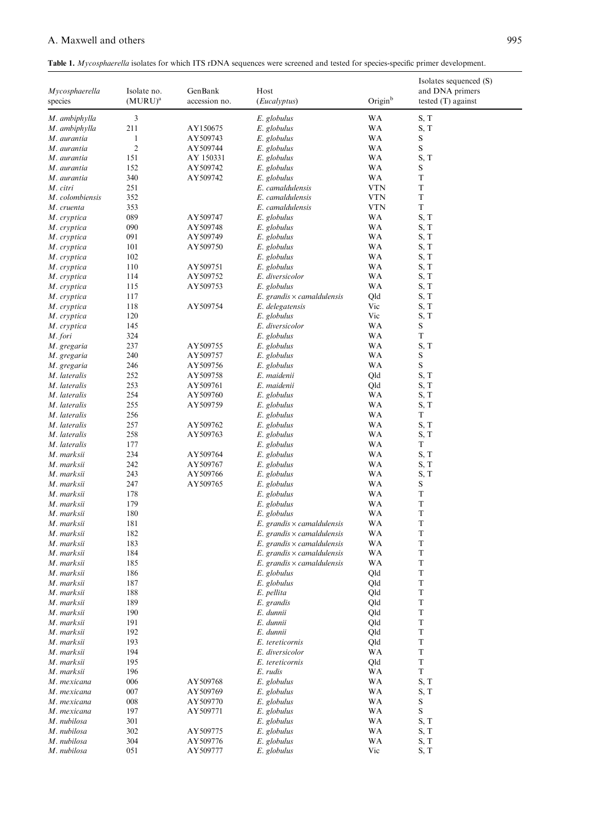|  | <b>Table 1.</b> <i>Mycosphaerella</i> isolates for which ITS rDNA sequences were screened and tested for species-specific primer development. |  |  |  |  |  |  |
|--|-----------------------------------------------------------------------------------------------------------------------------------------------|--|--|--|--|--|--|
|  |                                                                                                                                               |  |  |  |  |  |  |

| Mycosphaerella<br>species    | Isolate no.<br>$(MURU)^a$ | GenBank<br>accession no. | Host<br>(Eucalyptus)                | Origin <sup>b</sup> | Isolates sequenced (S)<br>and DNA primers<br>tested $(T)$ against |
|------------------------------|---------------------------|--------------------------|-------------------------------------|---------------------|-------------------------------------------------------------------|
| M. ambiphylla                | $\mathfrak{Z}$            |                          | E. globulus                         | <b>WA</b>           | S, T                                                              |
| M. ambiphylla                | 211                       | AY150675                 | E. globulus                         | <b>WA</b>           | S, T                                                              |
| M. aurantia                  | 1                         | AY509743                 | E. globulus                         | WA                  | S                                                                 |
| M. aurantia                  | $\overline{2}$            | AY509744                 | E. globulus                         | <b>WA</b>           | S                                                                 |
| M. aurantia                  | 151                       | AY 150331                | E. globulus                         | <b>WA</b>           | S, T                                                              |
| M. aurantia                  | 152                       | AY509742                 | E. globulus                         | <b>WA</b>           | S                                                                 |
| M. aurantia                  | 340                       | AY509742                 | E. globulus                         | WA                  | $\mathbf T$                                                       |
| M. citri                     | 251                       |                          | E. camaldulensis                    | <b>VTN</b>          | T                                                                 |
| M. colombiensis              | 352                       |                          | E. camaldulensis                    | <b>VTN</b>          | $\mathbf T$                                                       |
| M. cruenta                   | 353                       |                          | E. camaldulensis                    | <b>VTN</b>          | $\mathbf T$                                                       |
| M. cryptica                  | 089                       | AY509747                 | E. globulus                         | WA                  | S, T                                                              |
| M. cryptica                  | 090                       | AY509748                 | E. globulus                         | <b>WA</b>           | S, T                                                              |
| M. cryptica                  | 091                       | AY509749                 | E. globulus                         | <b>WA</b>           | S, T                                                              |
| M. cryptica                  | 101                       | AY509750                 | E. globulus                         | <b>WA</b>           | S, T                                                              |
| M. cryptica                  | 102                       |                          | E. globulus                         | <b>WA</b>           | S, T                                                              |
| M. cryptica                  | 110                       | AY509751                 | E. globulus                         | <b>WA</b>           | S, T                                                              |
| M. cryptica                  | 114                       | AY509752                 | E. diversicolor                     | <b>WA</b>           | S, T                                                              |
| M. cryptica                  | 115                       | AY509753                 | E. globulus                         | <b>WA</b>           | S, T                                                              |
| M. cryptica                  | 117                       |                          | $E.$ grandis $\times$ camaldulensis | Qld                 | S, T                                                              |
| M. cryptica                  | 118                       | AY509754                 | E. delegatensis                     | Vic                 | S, T                                                              |
| M. cryptica                  | 120                       |                          | E. globulus                         | Vic                 | S, T                                                              |
| M. cryptica                  | 145                       |                          | E. diversicolor                     | WA                  | S                                                                 |
| M. fori                      | 324                       |                          | E. globulus                         | <b>WA</b>           | $\mathbf T$                                                       |
| M. gregaria                  | 237                       | AY509755                 | E. globulus                         | <b>WA</b>           | S, T                                                              |
| M. gregaria                  | 240                       | AY509757                 | E. globulus                         | WA                  | S                                                                 |
| M. gregaria                  | 246                       | AY509756                 | E. globulus                         | <b>WA</b>           | S                                                                 |
| M. lateralis                 | 252                       | AY509758                 | E. maidenii                         | Qld                 | S, T                                                              |
| M. lateralis                 | 253                       | AY509761                 | E. maidenii                         | Qld                 | S, T                                                              |
| M. lateralis                 | 254                       | AY509760                 | E. globulus                         | <b>WA</b>           | S, T                                                              |
| M. lateralis                 | 255                       | AY509759                 | E. globulus                         | <b>WA</b>           | S, T                                                              |
| M. lateralis                 | 256                       |                          | E. globulus                         | WA                  | $\mathbf T$                                                       |
| M. lateralis                 | 257<br>258                | AY509762                 | E. globulus                         | <b>WA</b><br>WA     | S, T                                                              |
| M. lateralis<br>M. lateralis | 177                       | AY509763                 | E. globulus<br>E. globulus          | <b>WA</b>           | S, T<br>$\mathbf T$                                               |
| M. marksii                   | 234                       | AY509764                 | E. globulus                         | <b>WA</b>           | S, T                                                              |
| M. marksii                   | 242                       | AY509767                 | E. globulus                         | <b>WA</b>           | S, T                                                              |
| M. marksii                   | 243                       | AY509766                 | E. globulus                         | <b>WA</b>           | S, T                                                              |
| M. marksii                   | 247                       | AY509765                 | E. globulus                         | <b>WA</b>           | S                                                                 |
| M. marksii                   | 178                       |                          | E. globulus                         | WA                  | $\mathbf T$                                                       |
| M. marksii                   | 179                       |                          | E. globulus                         | WA                  | T                                                                 |
| M. marksii                   | 180                       |                          | E. globulus                         | WA                  | T                                                                 |
| M. marksii                   | 181                       |                          | $E.$ grandis $\times$ camaldulensis | <b>WA</b>           | $\mathbf T$                                                       |
| M. marksii                   | 182                       |                          | $E.$ grandis $\times$ camaldulensis | <b>WA</b>           | $\mathbf T$                                                       |
| M. marksii                   | 183                       |                          | $E.$ grandis $\times$ camaldulensis | WA                  | $\mathbf T$                                                       |
| M. marksii                   | 184                       |                          | $E.$ grandis $\times$ camaldulensis | <b>WA</b>           | $\mathbf T$                                                       |
| M. marksii                   | 185                       |                          | $E.$ grandis $\times$ camaldulensis | <b>WA</b>           | T                                                                 |
| M. marksii                   | 186                       |                          | E. globulus                         | Qld                 | $\mathbf T$                                                       |
| M. marksii                   | 187                       |                          | E. globulus                         | Qld                 | $\mathbf T$                                                       |
| M. marksii                   | 188                       |                          | E. pellita                          | Qld                 | T                                                                 |
| M. marksii                   | 189                       |                          | E. grandis                          | Qld                 | $\mathbf T$                                                       |
| M. marksii                   | 190                       |                          | E. dunnii                           | Qld                 | $\mathbf T$                                                       |
| M. marksii                   | 191                       |                          | E. dunnii                           | Qld                 | T                                                                 |
| M. marksii                   | 192                       |                          | E. dunnii                           | Qld                 | $\mathbf T$                                                       |
| M. marksii                   | 193                       |                          | E. tereticornis                     | Qld                 | $\mathbf T$                                                       |
| M. marksii                   | 194                       |                          | E. diversicolor                     | <b>WA</b>           | $\mathbf T$                                                       |
| M. marksii                   | 195                       |                          | E. tereticornis                     | Qld                 | $\mathbf T$                                                       |
| M. marksii                   | 196                       |                          | E. rudis                            | <b>WA</b>           | $\mathbf T$                                                       |
| M. mexicana                  | 006                       | AY509768                 | E. globulus                         | <b>WA</b>           | S, T                                                              |
| M. mexicana                  | 007                       | AY509769                 | E. globulus                         | <b>WA</b>           | S, T                                                              |
| M. mexicana                  | 008                       | AY509770                 | E. globulus                         | WA                  | S                                                                 |
| M. mexicana                  | 197                       | AY509771                 | E. globulus                         | WA                  | S                                                                 |
| M. nubilosa                  | 301                       |                          | E. globulus                         | WA                  | S, T                                                              |
| M. nubilosa                  | 302                       | AY509775                 | E. globulus                         | WA                  | S, T                                                              |
| M. nubilosa                  | 304                       | AY509776                 | E. globulus                         | WA                  | S, T                                                              |
| M. nubilosa                  | 051                       | AY509777                 | E. globulus                         | Vic                 | S, T                                                              |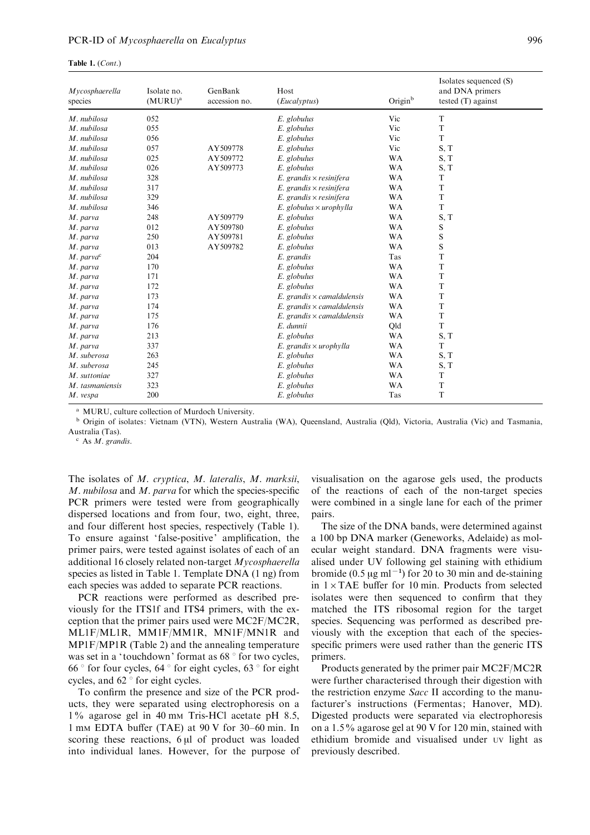|  |  | Table 1. $(Cont.)$ |
|--|--|--------------------|
|--|--|--------------------|

|                           | Isolate no.         | GenBank       | Host                                |                     | Isolates sequenced (S)                  |
|---------------------------|---------------------|---------------|-------------------------------------|---------------------|-----------------------------------------|
| Mycosphaerella<br>species | (MURU) <sup>a</sup> | accession no. | (Eucalyptus)                        | Origin <sup>b</sup> | and DNA primers<br>tested $(T)$ against |
| M. nubilosa               | 052                 |               | E. globulus                         | Vic                 | T                                       |
| M. nubilosa               | 055                 |               | E. globulus                         | Vic                 | T                                       |
| M. nubilosa               | 056                 |               | E. globulus                         | Vic                 | T                                       |
| M. nubilosa               | 057                 | AY509778      | E. globulus                         | Vic                 | S, T                                    |
| M. nubilosa               | 025                 | AY509772      | E. globulus                         | <b>WA</b>           | S, T                                    |
| M. nubilosa               | 026                 | AY509773      | E. globulus                         | <b>WA</b>           | S, T                                    |
| M. nubilosa               | 328                 |               | $E.$ grandis $\times$ resinifera    | <b>WA</b>           | T                                       |
| M. nubilosa               | 317                 |               | $E.$ grandis $\times$ resinifera    | <b>WA</b>           | T                                       |
| M. nubilosa               | 329                 |               | $E.$ grandis $\times$ resinifera    | <b>WA</b>           | T                                       |
| M. nubilosa               | 346                 |               | $E.$ globulus $\times$ urophylla    | WA                  | T                                       |
| M. parva                  | 248                 | AY509779      | E. globulus                         | <b>WA</b>           | S, T                                    |
| M. parva                  | 012                 | AY509780      | E. globulus                         | <b>WA</b>           | S                                       |
| M. parva                  | 250                 | AY509781      | E. globulus                         | <b>WA</b>           | S                                       |
| M. parva                  | 013                 | AY509782      | E. globulus                         | <b>WA</b>           | S                                       |
| $M.$ parva $^{\circ}$     | 204                 |               | E. grandis                          | Tas                 | T                                       |
| M. parva                  | 170                 |               | E. globulus                         | <b>WA</b>           | T                                       |
| M. parva                  | 171                 |               | E. globulus                         | <b>WA</b>           | T                                       |
| M. parva                  | 172                 |               | E. globulus                         | <b>WA</b>           | T                                       |
| M. parva                  | 173                 |               | $E.$ grandis $\times$ camaldulensis | <b>WA</b>           | T                                       |
| M. parva                  | 174                 |               | $E.$ grandis $\times$ camaldulensis | <b>WA</b>           | T                                       |
| M. parva                  | 175                 |               | $E.$ grandis $\times$ camaldulensis | <b>WA</b>           | $\mathbf T$                             |
| M. parva                  | 176                 |               | E. dunnii                           | Qld                 | T                                       |
| M. parva                  | 213                 |               | E. globulus                         | <b>WA</b>           | S, T                                    |
| M. parva                  | 337                 |               | $E$ . grandis $\times$ urophylla    | <b>WA</b>           | T                                       |
| M. suberosa               | 263                 |               | E. globulus                         | <b>WA</b>           | S, T                                    |
| M. suberosa               | 245                 |               | E. globulus                         | <b>WA</b>           | S, T                                    |
| M. suttoniae              | 327                 |               | E. globulus                         | <b>WA</b>           | T                                       |
| M. tasmaniensis           | 323                 |               | E. globulus                         | WA                  | T                                       |
| M. vespa                  | 200                 |               | E. globulus                         | Tas                 | T                                       |

<sup>a</sup> MURU, culture collection of Murdoch University.

<sup>b</sup> Origin of isolates: Vietnam (VTN), Western Australia (WA), Queensland, Australia (Qld), Victoria, Australia (Vic) and Tasmania, Australia (Tas).

 $c$  As *M*. grandis.

The isolates of M. cryptica, M. lateralis, M. marksii, M. nubilosa and M. parva for which the species-specific PCR primers were tested were from geographically dispersed locations and from four, two, eight, three, and four different host species, respectively (Table 1). To ensure against 'false-positive' amplification, the primer pairs, were tested against isolates of each of an additional 16 closely related non-target Mycosphaerella species as listed in Table 1. Template DNA (1 ng) from each species was added to separate PCR reactions.

PCR reactions were performed as described previously for the ITS1f and ITS4 primers, with the exception that the primer pairs used were MC2F/MC2R, ML1F/ML1R, MM1F/MM1R, MN1F/MN1R and MP1F/MP1R (Table 2) and the annealing temperature was set in a 'touchdown' format as  $68^\circ$  for two cycles, 66  $\degree$  for four cycles, 64  $\degree$  for eight cycles, 63  $\degree$  for eight cycles, and  $62^\circ$  for eight cycles.

To confirm the presence and size of the PCR products, they were separated using electrophoresis on a 1% agarose gel in 40 mM Tris-HCl acetate pH 8.5, 1 mM EDTA buffer (TAE) at 90 V for 30–60 min. In scoring these reactions,  $6 \mu l$  of product was loaded into individual lanes. However, for the purpose of visualisation on the agarose gels used, the products of the reactions of each of the non-target species were combined in a single lane for each of the primer pairs.

The size of the DNA bands, were determined against a 100 bp DNA marker (Geneworks, Adelaide) as molecular weight standard. DNA fragments were visualised under UV following gel staining with ethidium bromide (0.5  $\mu$ g ml<sup>-1</sup>) for 20 to 30 min and de-staining in  $1 \times$ TAE buffer for 10 min. Products from selectedisolates were then sequenced to confirm that they matched the ITS ribosomal region for the target species. Sequencing was performed as described previously with the exception that each of the speciesspecific primers were used rather than the generic ITS primers.

Products generated by the primer pair MC2F/MC2R were further characterised through their digestion with the restriction enzyme Sacc II according to the manufacturer's instructions (Fermentas: Hanover, MD). Digested products were separated via electrophoresis on a 1.5% agarose gel at 90 V for 120 min, stained with ethidium bromide and visualised under UV light as previously described.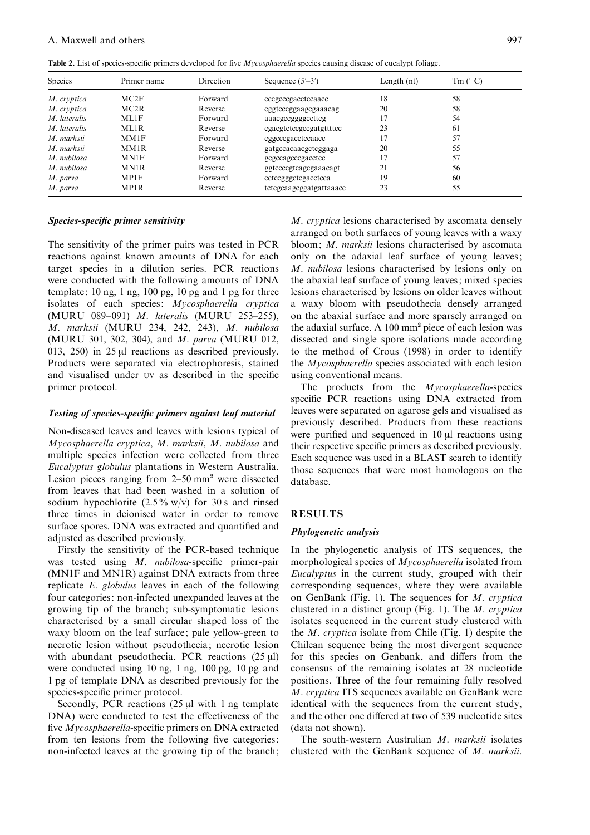Table 2. List of species-specific primers developed for five *Mycosphaerella* species causing disease of eucalypt foliage.

| Species      | Primer name       | Direction | Sequence $(5-3)$        | Length $(nt)$ | Tm (° C) |  |
|--------------|-------------------|-----------|-------------------------|---------------|----------|--|
| M. cryptica  | MC2F              | Forward   | ccegccegacetccaacc      | 18            | 58       |  |
| M. cryptica  | MC <sub>2</sub> R | Reverse   | cggtcccggaagcgaaacag    | 20            | 58       |  |
| M. lateralis | ML1F              | Forward   | aaacgccggggccttcg       |               | 54       |  |
| M. lateralis | ML1R              | Reverse   | cgacgtctccgccgatgttttcc | 23            | 61       |  |
| M. marksii   | MM1F              | Forward   | cggcccgacctccaacc       |               | 57       |  |
| M. marksii   | MM1R              | Reverse   | gatgccacaacgctcggaga    | 20            | 55       |  |
| M. nubilosa  | MN1F              | Forward   | gegeeageeegaeetee       |               | 57       |  |
| M. nubilosa  | <b>MN1R</b>       | Reverse   | ggtccccgtcagcgaaacagt   | 21            | 56       |  |
| M. parva     | MP1F              | Forward   | cctccgggctcgacctcca     | 19            | 60       |  |
| M. parva     | MP1R              | Reverse   | tetegeaageggatgattaaace | 23            | 55       |  |

## Species-specific primer sensitivity

The sensitivity of the primer pairs was tested in PCR reactions against known amounts of DNA for each target species in a dilution series. PCR reactions were conducted with the following amounts of DNA template: 10 ng, 1 ng, 100 pg, 10 pg and 1 pg for three isolates of each species: Mycosphaerella cryptica (MURU 089–091) M. lateralis (MURU 253–255), M. marksii (MURU 234, 242, 243), M. nubilosa (MURU 301, 302, 304), and M. parva (MURU 012, 013, 250) in  $25 \mu l$  reactions as described previously. Products were separated via electrophoresis, stained and visualised under UV as described in the specific primer protocol.

#### Testing of species-specific primers against leaf material

Non-diseased leaves and leaves with lesions typical of Mycosphaerella cryptica, M. marksii, M. nubilosa and multiple species infection were collected from three Eucalyptus globulus plantations in Western Australia. Lesion pieces ranging from  $2-50$  mm<sup>2</sup> were dissected from leaves that had been washed in a solution of sodium hypochlorite  $(2.5\% \text{ w/v})$  for 30 s and rinsed three times in deionised water in order to remove surface spores. DNA was extracted and quantified and adjusted as described previously.

Firstly the sensitivity of the PCR-based technique was tested using M. *nubilosa*-specific primer-pair (MN1F and MN1R) against DNA extracts from three replicate E. globulus leaves in each of the following four categories: non-infected unexpanded leaves at the growing tip of the branch; sub-symptomatic lesions characterised by a small circular shaped loss of the waxy bloom on the leaf surface; pale yellow-green to necrotic lesion without pseudothecia; necrotic lesion with abundant pseudothecia. PCR reactions  $(25 \mu l)$ were conducted using 10 ng, 1 ng, 100 pg, 10 pg and 1 pg of template DNA as described previously for the species-specific primer protocol.

Secondly, PCR reactions (25 ul with 1 ng template) DNA) were conducted to test the effectiveness of the five Mycosphaerella-specific primers on DNA extracted from ten lesions from the following five categories: non-infected leaves at the growing tip of the branch;

M. cryptica lesions characterised by ascomata densely arranged on both surfaces of young leaves with a waxy bloom; M. marksii lesions characterised by ascomata only on the adaxial leaf surface of young leaves; M. nubilosa lesions characterised by lesions only on the abaxial leaf surface of young leaves; mixed species lesions characterised by lesions on older leaves without a waxy bloom with pseudothecia densely arranged on the abaxial surface and more sparsely arranged on the adaxial surface. A  $100 \text{ mm}^2$  piece of each lesion was dissected and single spore isolations made according to the method of Crous (1998) in order to identify the Mycosphaerella species associated with each lesion using conventional means.

The products from the *Mycosphaerella*-species specific PCR reactions using DNA extracted from leaves were separated on agarose gels and visualised as previously described. Products from these reactions were purified and sequenced in  $10 \mu l$  reactions using their respective specific primers as described previously. Each sequence was used in a BLAST search to identify those sequences that were most homologous on the database.

## RESULTS

#### Phylogenetic analysis

In the phylogenetic analysis of ITS sequences, the morphological species of Mycosphaerella isolated from Eucalyptus in the current study, grouped with their corresponding sequences, where they were available on GenBank (Fig. 1). The sequences for M. cryptica clustered in a distinct group (Fig. 1). The  $M$ . cryptica isolates sequenced in the current study clustered with the  $M$ . *cryptica* isolate from Chile (Fig. 1) despite the Chilean sequence being the most divergent sequence for this species on Genbank, and differs from the consensus of the remaining isolates at 28 nucleotide positions. Three of the four remaining fully resolved M. cryptica ITS sequences available on GenBank were identical with the sequences from the current study, and the other one differed at two of 539 nucleotide sites (data not shown).

The south-western Australian M. marksii isolates clustered with the GenBank sequence of M. marksii.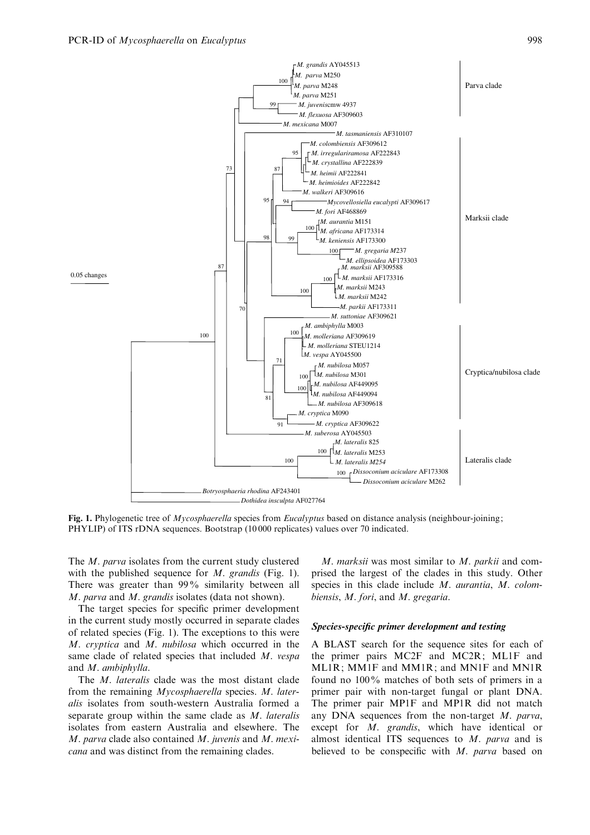

Fig. 1. Phylogenetic tree of *Mycosphaerella* species from *Eucalyptus* based on distance analysis (neighbour-joining; PHYLIP) of ITS rDNA sequences. Bootstrap (10 000 replicates) values over 70 indicated.

The *M. parva* isolates from the current study clustered with the published sequence for  $M$ . grandis (Fig. 1). There was greater than 99% similarity between all M. parva and M. grandis isolates (data not shown).

The target species for specific primer development in the current study mostly occurred in separate clades of related species (Fig. 1). The exceptions to this were M. cryptica and M. nubilosa which occurred in the same clade of related species that included M. vespa and M. ambiphylla.

The M. lateralis clade was the most distant clade from the remaining Mycosphaerella species. M. lateralis isolates from south-western Australia formed a separate group within the same clade as M. lateralis isolates from eastern Australia and elsewhere. The M. parva clade also contained M. juvenis and M. mexicana and was distinct from the remaining clades.

M. marksii was most similar to  $M$ , parkii and comprised the largest of the clades in this study. Other species in this clade include M. aurantia, M. colombiensis, M. fori, and M. gregaria.

#### Species-specific primer development and testing

A BLAST search for the sequence sites for each of the primer pairs MC2F and MC2R; ML1F and ML1R; MM1F and MM1R; and MN1F and MN1R found no 100% matches of both sets of primers in a primer pair with non-target fungal or plant DNA. The primer pair MP1F and MP1R did not match any DNA sequences from the non-target M. parva, except for *M. grandis*, which have identical or almost identical ITS sequences to  $M$ . parva and is believed to be conspecific with  $M$ . parva based on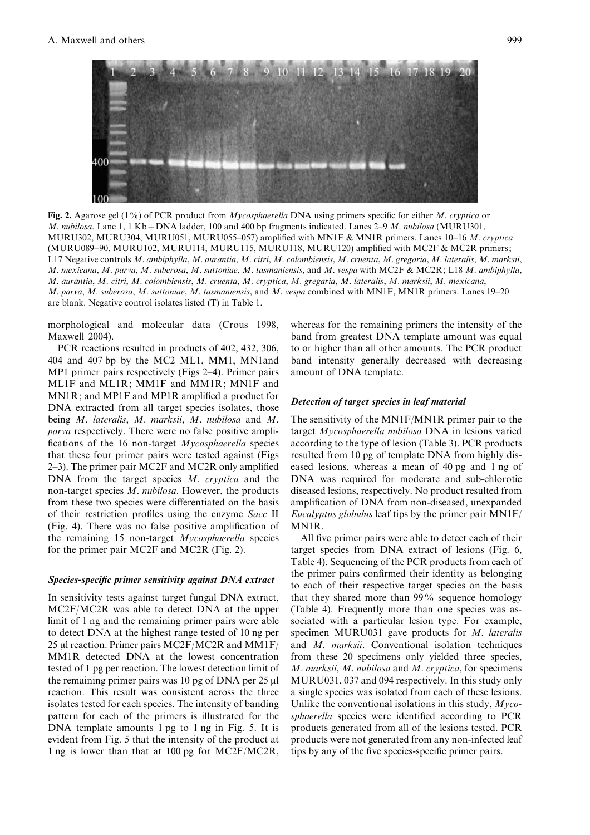

Fig. 2. Agarose gel (1%) of PCR product from *Mycosphaerella* DNA using primers specific for either *M. cryptica* or M. nubilosa. Lane 1, 1 Kb+DNA ladder, 100 and 400 bp fragments indicated. Lanes 2–9 M. nubilosa (MURU301, MURU302, MURU304, MURU051, MURU055–057) amplified with MN1F & MN1R primers. Lanes 10–16 M. cryptica (MURU089–90, MURU102, MURU114, MURU115, MURU118, MURU120) amplified with MC2F & MC2R primers; L17 Negative controls M. ambiphylla, M. aurantia, M. citri, M. colombiensis, M. cruenta, M. gregaria, M. lateralis, M. marksii, M. mexicana, M. parva, M. suberosa, M. suttoniae, M. tasmaniensis, and M. vespa with MC2F & MC2R; L18 M. ambiphylla, M. aurantia, M. citri, M. colombiensis, M. cruenta, M. cryptica, M. gregaria, M. lateralis, M. marksii, M. mexicana, M. parva, M. suberosa, M. suttoniae, M. tasmaniensis, and M. vespa combined with MN1F, MN1R primers. Lanes 19–20 are blank. Negative control isolates listed (T) in Table 1.

morphological and molecular data (Crous 1998, Maxwell 2004).

PCR reactions resulted in products of 402, 432, 306, 404 and 407 bp by the MC2 ML1, MM1, MN1and MP1 primer pairs respectively (Figs 2–4). Primer pairs ML1F and ML1R; MM1F and MM1R; MN1F and MN1R; and MP1F and MP1R amplified a product for DNA extracted from all target species isolates, those being M. lateralis, M. marksii, M. nubilosa and M. parva respectively. There were no false positive amplifications of the 16 non-target Mycosphaerella species that these four primer pairs were tested against (Figs 2–3). The primer pair MC2F and MC2R only amplified DNA from the target species M. cryptica and the non-target species M. nubilosa. However, the products from these two species were differentiated on the basis of their restriction profiles using the enzyme Sacc II (Fig. 4). There was no false positive amplification of the remaining 15 non-target Mycosphaerella species for the primer pair MC2F and MC2R (Fig. 2).

#### Species-specific primer sensitivity against DNA extract

In sensitivity tests against target fungal DNA extract, MC2F/MC2R was able to detect DNA at the upper limit of 1 ng and the remaining primer pairs were able to detect DNA at the highest range tested of 10 ng per 25 µl reaction. Primer pairs  $MC2F/MC2R$  and  $MM1F/$ MM1R detected DNA at the lowest concentration tested of 1 pg per reaction. The lowest detection limit of the remaining primer pairs was 10 pg of DNA per 25 µl reaction. This result was consistent across the three isolates tested for each species. The intensity of banding pattern for each of the primers is illustrated for the DNA template amounts 1 pg to 1 ng in Fig. 5. It is evident from Fig. 5 that the intensity of the product at 1 ng is lower than that at 100 pg for MC2F/MC2R,

whereas for the remaining primers the intensity of the band from greatest DNA template amount was equal to or higher than all other amounts. The PCR product band intensity generally decreased with decreasing amount of DNA template.

#### Detection of target species in leaf material

The sensitivity of the MN1F/MN1R primer pair to the target Mycosphaerella nubilosa DNA in lesions varied according to the type of lesion (Table 3). PCR products resulted from 10 pg of template DNA from highly diseased lesions, whereas a mean of 40 pg and 1 ng of DNA was required for moderate and sub-chlorotic diseased lesions, respectively. No product resulted from amplification of DNA from non-diseased, unexpanded *Eucalyptus globulus* leaf tips by the primer pair  $MN1F$ MN1R.

All five primer pairs were able to detect each of their target species from DNA extract of lesions (Fig. 6, Table 4). Sequencing of the PCR products from each of the primer pairs confirmed their identity as belonging to each of their respective target species on the basis that they shared more than 99% sequence homology (Table 4). Frequently more than one species was associated with a particular lesion type. For example, specimen MURU031 gave products for M. lateralis and M. marksii. Conventional isolation techniques from these 20 specimens only yielded three species, M. marksii, M. nubilosa and M. cryptica, for specimens MURU031, 037 and 094 respectively. In this study only a single species was isolated from each of these lesions. Unlike the conventional isolations in this study,  $Mvco$ sphaerella species were identified according to PCR products generated from all of the lesions tested. PCR products were not generated from any non-infected leaf tips by any of the five species-specific primer pairs.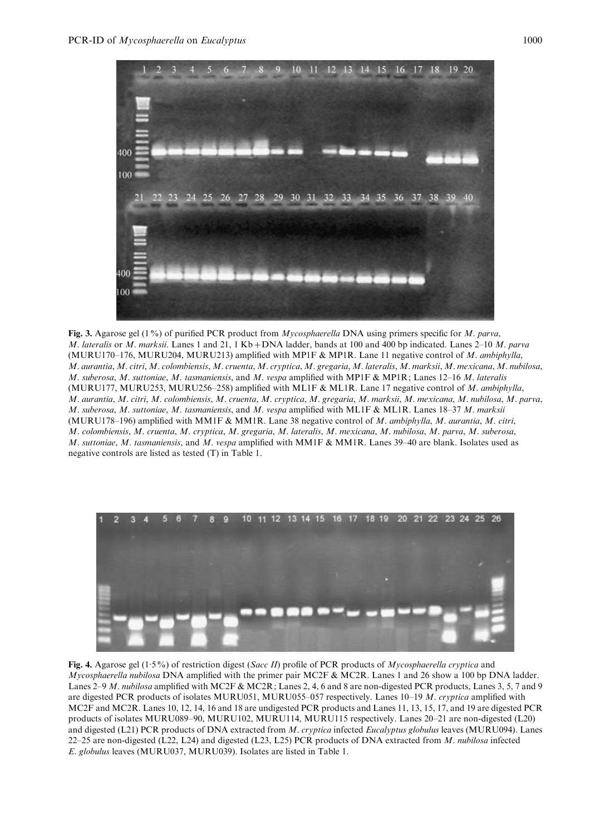

Fig. 3. Agarose gel (1%) of purified PCR product from *Mycosphaerella* DNA using primers specific for *M. parva*, M. lateralis or M. marksii. Lanes 1 and 21,  $1 \text{ Kb} + \text{DNA}$  ladder, bands at 100 and 400 bp indicated. Lanes  $2-10 \text{ M}$ . parva (MURU170–176, MURU204, MURU213) amplified with MP1F & MP1R. Lane 11 negative control of M. ambiphylla, M. aurantia, M. citri, M. colombiensis, M. cruenta, M. cryptica, M. gregaria, M. lateralis, M. marksii, M. mexicana, M. nubilosa, M. suberosa, M. suttoniae, M. tasmaniensis, and M. vespa amplified with MP1F & MP1R; Lanes 12–16 M. lateralis (MURU177, MURU253, MURU256–258) amplified with ML1F & ML1R. Lane 17 negative control of M. ambiphylla, M. aurantia, M. citri, M. colombiensis, M. cruenta, M. cryptica, M. gregaria, M. marksii, M. mexicana, M. nubilosa, M. parva, M. suberosa, M. suttoniae, M. tasmaniensis, and M. vespa amplified with ML1F & ML1R. Lanes 18-37 M. marksii (MURU178–196) amplified with MM1F & MM1R. Lane 38 negative control of M. ambiphylla, M. aurantia, M. citri, M. colombiensis, M. cruenta, M. cryptica, M. gregaria, M. lateralis, M. mexicana, M. nubilosa, M. parva, M. suberosa, M. suttoniae, M. tasmaniensis, and M. vespa amplified with MM1F & MM1R. Lanes 39–40 are blank. Isolates used as negative controls are listed as tested (T) in Table 1.



Fig. 4. Agarose gel (1.5%) of restriction digest (Sacc II) profile of PCR products of Mycosphaerella cryptica and Mycosphaerella nubilosa DNA amplified with the primer pair MC2F & MC2R. Lanes 1 and 26 show a 100 bp DNA ladder. Lanes 2–9 M. nubilosa amplified with MC2F & MC2R; Lanes 2, 4, 6 and 8 are non-digested PCR products, Lanes 3, 5, 7 and 9 are digested PCR products of isolates MURU051, MURU055–057 respectively. Lanes 10–19 M. cryptica amplified with MC2F and MC2R. Lanes 10, 12, 14, 16 and 18 are undigested PCR products and Lanes 11, 13, 15, 17, and 19 are digested PCR products of isolates MURU089–90, MURU102, MURU114, MURU115 respectively. Lanes 20–21 are non-digested (L20) and digested (L21) PCR products of DNA extracted from *M. cryptica* infected *Eucalyptus globulus* leaves (MURU094). Lanes 22–25 are non-digested (L22, L24) and digested (L23, L25) PCR products of DNA extracted from M. nubilosa infected E. globulus leaves (MURU037, MURU039). Isolates are listed in Table 1.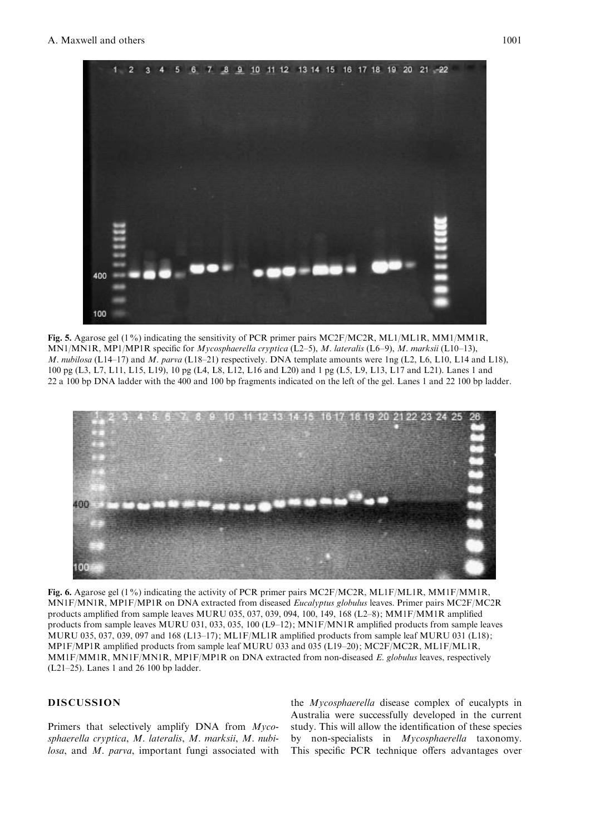

Fig. 5. Agarose gel (1%) indicating the sensitivity of PCR primer pairs MC2F/MC2R, ML1/ML1R, MM1/MM1R, MN1/MN1R, MP1/MP1R specific for Mycosphaerella cryptica (L2–5), M. lateralis (L6–9), M. marksii (L10–13), M. nubilosa (L14–17) and M. parva (L18–21) respectively. DNA template amounts were  $\ln g$  (L2, L6, L10, L14 and L18), 100 pg (L3, L7, L11, L15, L19), 10 pg (L4, L8, L12, L16 and L20) and 1 pg (L5, L9, L13, L17 and L21). Lanes 1 and 22 a 100 bp DNA ladder with the 400 and 100 bp fragments indicated on the left of the gel. Lanes 1 and 22 100 bp ladder.



Fig. 6. Agarose gel (1%) indicating the activity of PCR primer pairs MC2F/MC2R, ML1F/ML1R, MM1F/MM1R, MN1F/MN1R, MP1F/MP1R on DNA extracted from diseased Eucalyptus globulus leaves. Primer pairs MC2F/MC2R products amplified from sample leaves MURU 035, 037, 039, 094, 100, 149, 168 (L2–8); MM1F/MM1R amplified products from sample leaves MURU 031, 033, 035, 100 (L9–12); MN1F/MN1R amplified products from sample leaves MURU 035, 037, 039, 097 and 168 (L13–17); ML1F/ML1R amplified products from sample leaf MURU 031 (L18); MP1F/MP1R amplified products from sample leaf MURU 033 and 035 (L19–20); MC2F/MC2R, ML1F/ML1R, MM1F/MM1R, MN1F/MN1R, MP1F/MP1R on DNA extracted from non-diseased E. globulus leaves, respectively (L21–25). Lanes 1 and 26 100 bp ladder.

## DISCUSSION

Primers that selectively amplify DNA from  $Myco$ sphaerella cryptica, M. lateralis, M. marksii, M. nubilosa, and M. parva, important fungi associated with

the Mycosphaerella disease complex of eucalypts in Australia were successfully developed in the current study. This will allow the identification of these species by non-specialists in Mycosphaerella taxonomy. This specific PCR technique offers advantages over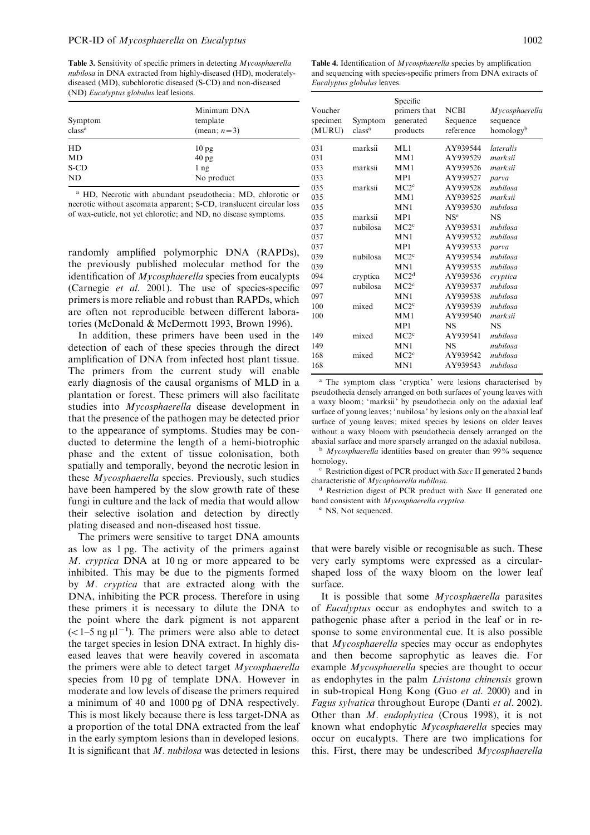Table 3. Sensitivity of specific primers in detecting Mycosphaerella nubilosa in DNA extracted from highly-diseased (HD), moderatelydiseased (MD), subchlorotic diseased (S-CD) and non-diseased (ND) Eucalyptus globulus leaf lesions.

| Symptom<br>class <sup>a</sup> | Minimum DNA<br>template<br>(mean; $n=3$ ) |
|-------------------------------|-------------------------------------------|
| H <sub>D</sub>                | 10 <sub>pg</sub>                          |
| MD                            | 40 <sub>pg</sub>                          |
| S-CD                          | 1 <sub>ng</sub>                           |
| ND.                           | No product                                |

<sup>a</sup> HD, Necrotic with abundant pseudothecia; MD, chlorotic or necrotic without ascomata apparent; S-CD, translucent circular loss of wax-cuticle, not yet chlorotic; and ND, no disease symptoms.

randomly amplified polymorphic DNA (RAPDs), the previously published molecular method for the identification of *Mycosphaerella* species from eucalypts (Carnegie et al. 2001). The use of species-specific primers is more reliable and robust than RAPDs, which are often not reproducible between different laboratories (McDonald & McDermott 1993, Brown 1996).

In addition, these primers have been used in the detection of each of these species through the direct amplification of DNA from infected host plant tissue. The primers from the current study will enable early diagnosis of the causal organisms of MLD in a plantation or forest. These primers will also facilitate studies into Mycosphaerella disease development in that the presence of the pathogen may be detected prior to the appearance of symptoms. Studies may be conducted to determine the length of a hemi-biotrophic phase and the extent of tissue colonisation, both spatially and temporally, beyond the necrotic lesion in these Mycosphaerella species. Previously, such studies have been hampered by the slow growth rate of these fungi in culture and the lack of media that would allow their selective isolation and detection by directly plating diseased and non-diseased host tissue.

The primers were sensitive to target DNA amounts as low as 1 pg. The activity of the primers against M. cryptica DNA at 10 ng or more appeared to be inhibited. This may be due to the pigments formed by M. cryptica that are extracted along with the DNA, inhibiting the PCR process. Therefore in using these primers it is necessary to dilute the DNA to the point where the dark pigment is not apparent  $(<1-5$  ng  $\mu$ l<sup>-1</sup>). The primers were also able to detect the target species in lesion DNA extract. In highly diseased leaves that were heavily covered in ascomata the primers were able to detect target Mycosphaerella species from 10 pg of template DNA. However in moderate and low levels of disease the primers required a minimum of 40 and 1000 pg of DNA respectively. This is most likely because there is less target-DNA as a proportion of the total DNA extracted from the leaf in the early symptom lesions than in developed lesions. It is significant that M. *nubilosa* was detected in lesions

Table 4. Identification of Mycosphaerella species by amplification and sequencing with species-specific primers from DNA extracts of Eucalyptus globulus leaves.

| Voucher<br>specimen<br>(MURU) | Symptom<br>class <sup>a</sup> | Specific<br>primers that<br>generated<br>products | <b>NCBI</b><br>Sequence<br>reference | Mycosphaerella<br>sequence<br>homologyb |
|-------------------------------|-------------------------------|---------------------------------------------------|--------------------------------------|-----------------------------------------|
| 031                           | marksii                       | ML1                                               | AY939544                             | lateralis                               |
| 031                           |                               | MM1                                               | AY939529                             | marksii                                 |
| 033                           | marksii                       | MM1                                               | AY939526                             | marksii                                 |
| 033                           |                               | MP1                                               | AY939527                             | parva                                   |
| 035                           | marksii                       | MC2 <sup>c</sup>                                  | AY939528                             | nubilosa                                |
| 035                           |                               | MM1                                               | AY939525                             | marksii                                 |
| 035                           |                               | MN1                                               | AY939530                             | nubilosa                                |
| 035                           | marksii                       | MP1                                               | NS <sup>e</sup>                      | <b>NS</b>                               |
| 037                           | nubilosa                      | MC2 <sup>c</sup>                                  | AY939531                             | nubilosa                                |
| 037                           |                               | MN1                                               | AY939532                             | nubilosa                                |
| 037                           |                               | MP1                                               | AY939533                             | parva                                   |
| 039                           | nubilosa                      | MC2 <sup>c</sup>                                  | AY939534                             | nubilosa                                |
| 039                           |                               | MN1                                               | AY939535                             | nubilosa                                |
| 094                           | cryptica                      | MC2 <sup>d</sup>                                  | AY939536                             | cryptica                                |
| 097                           | nubilosa                      | MC2 <sup>c</sup>                                  | AY939537                             | nubilosa                                |
| 097                           |                               | MN1                                               | AY939538                             | nubilosa                                |
| 100                           | mixed                         | MC2 <sup>c</sup>                                  | AY939539                             | nubilosa                                |
| 100                           |                               | MM1                                               | AY939540                             | marksii                                 |
|                               |                               | MP1                                               | NS                                   | <b>NS</b>                               |
| 149                           | mixed                         | MC2 <sup>c</sup>                                  | AY939541                             | nubilosa                                |
| 149                           |                               | MN1                                               | NS                                   | nubilosa                                |
| 168                           | mixed                         | MC2 <sup>c</sup>                                  | AY939542                             | nubilosa                                |
| 168                           |                               | MN1                                               | AY939543                             | nubilosa                                |

<sup>a</sup> The symptom class 'cryptica' were lesions characterised by pseudothecia densely arranged on both surfaces of young leaves with a waxy bloom; 'marksii' by pseudothecia only on the adaxial leaf surface of young leaves; 'nubilosa' by lesions only on the abaxial leaf surface of young leaves; mixed species by lesions on older leaves without a waxy bloom with pseudothecia densely arranged on the abaxial surface and more sparsely arranged on the adaxial nubilosa.

 $b$  *Mycosphaerella* identities based on greater than 99% sequence homology.

 $c$  Restriction digest of PCR product with *Sacc* II generated 2 bands characteristic of Mycophaerella nubilosa.

<sup>d</sup> Restriction digest of PCR product with Sacc II generated one band consistent with Mycosphaerella cryptica.

<sup>e</sup> NS, Not sequenced.

that were barely visible or recognisable as such. These very early symptoms were expressed as a circularshaped loss of the waxy bloom on the lower leaf surface.

It is possible that some  $Mycosphaerella$  parasites of Eucalyptus occur as endophytes and switch to a pathogenic phase after a period in the leaf or in response to some environmental cue. It is also possible that Mycosphaerella species may occur as endophytes and then become saprophytic as leaves die. For example *Mycosphaerella* species are thought to occur as endophytes in the palm Livistona chinensis grown in sub-tropical Hong Kong (Guo et al. 2000) and in Fagus sylvatica throughout Europe (Danti et al. 2002). Other than M. endophytica (Crous 1998), it is not known what endophytic Mycosphaerella species may occur on eucalypts. There are two implications for this. First, there may be undescribed Mycosphaerella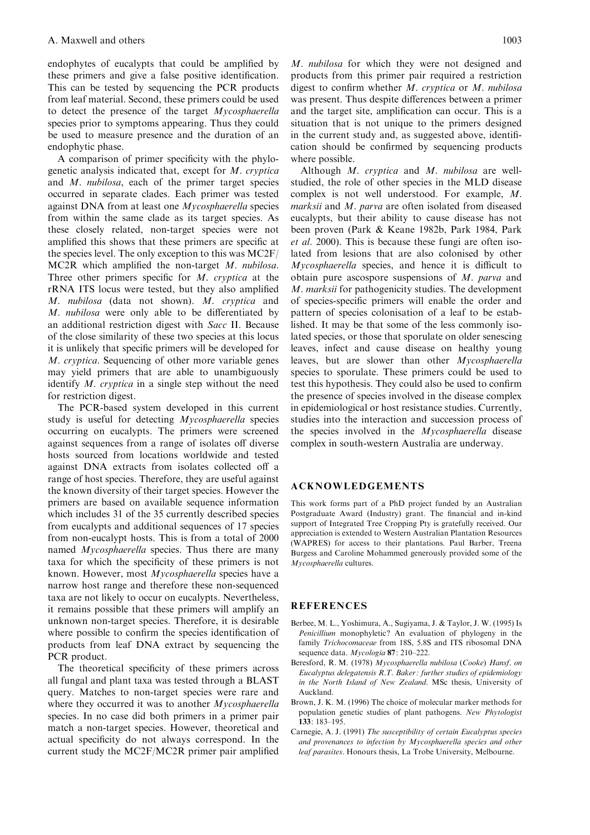endophytes of eucalypts that could be amplified by these primers and give a false positive identification. This can be tested by sequencing the PCR products from leaf material. Second, these primers could be used to detect the presence of the target Mycosphaerella species prior to symptoms appearing. Thus they could be used to measure presence and the duration of an endophytic phase.

A comparison of primer specificity with the phylogenetic analysis indicated that, except for  $M$ . cryptical and M. nubilosa, each of the primer target species occurred in separate clades. Each primer was tested against DNA from at least one Mycosphaerella species from within the same clade as its target species. As these closely related, non-target species were not amplified this shows that these primers are specific at the species level. The only exception to this was MC2F/ MC2R which amplified the non-target M. nubilosa. Three other primers specific for M. cryptica at the rRNA ITS locus were tested, but they also amplified M. nubilosa (data not shown). M. cryptica and M. nubilosa were only able to be differentiated by an additional restriction digest with Sacc II. Because of the close similarity of these two species at this locus it is unlikely that specific primers will be developed for M. cryptica. Sequencing of other more variable genes may yield primers that are able to unambiguously identify  $M$ . *cryptica* in a single step without the need for restriction digest.

The PCR-based system developed in this current study is useful for detecting Mycosphaerella species occurring on eucalypts. The primers were screened against sequences from a range of isolates off diverse hosts sourced from locations worldwide and tested against DNA extracts from isolates collected off a range of host species. Therefore, they are useful against the known diversity of their target species. However the primers are based on available sequence information which includes 31 of the 35 currently described species from eucalypts and additional sequences of 17 species from non-eucalypt hosts. This is from a total of 2000 named Mycosphaerella species. Thus there are many taxa for which the specificity of these primers is not known. However, most Mycosphaerella species have a narrow host range and therefore these non-sequenced taxa are not likely to occur on eucalypts. Nevertheless, it remains possible that these primers will amplify an unknown non-target species. Therefore, it is desirable where possible to confirm the species identification of products from leaf DNA extract by sequencing the PCR product.

The theoretical specificity of these primers across all fungal and plant taxa was tested through a BLAST query. Matches to non-target species were rare and where they occurred it was to another *Mycosphaerella* species. In no case did both primers in a primer pair match a non-target species. However, theoretical and actual specificity do not always correspond. In the current study the MC2F/MC2R primer pair amplified

M. nubilosa for which they were not designed and products from this primer pair required a restriction digest to confirm whether  $M$ . cryptica or  $M$ . nubilosa was present. Thus despite differences between a primer and the target site, amplification can occur. This is a situation that is not unique to the primers designed in the current study and, as suggested above, identification should be confirmed by sequencing products where possible.

Although  $M$ . cryptica and  $M$ . *nubilosa* are wellstudied, the role of other species in the MLD disease complex is not well understood. For example, M. marksii and M. parva are often isolated from diseased eucalypts, but their ability to cause disease has not been proven (Park & Keane 1982b, Park 1984, Park et al. 2000). This is because these fungi are often isolated from lesions that are also colonised by other Mycosphaerella species, and hence it is difficult to obtain pure ascospore suspensions of M. parva and M. marksii for pathogenicity studies. The development of species-specific primers will enable the order and pattern of species colonisation of a leaf to be established. It may be that some of the less commonly isolated species, or those that sporulate on older senescing leaves, infect and cause disease on healthy young leaves, but are slower than other Mycosphaerella species to sporulate. These primers could be used to test this hypothesis. They could also be used to confirm the presence of species involved in the disease complex in epidemiological or host resistance studies. Currently, studies into the interaction and succession process of the species involved in the Mycosphaerella disease complex in south-western Australia are underway.

## ACKNOWLEDGEMENTS

This work forms part of a PhD project funded by an Australian Postgraduate Award (Industry) grant. The financial and in-kind support of Integrated Tree Cropping Pty is gratefully received. Our appreciation is extended to Western Australian Plantation Resources (WAPRES) for access to their plantations. Paul Barber, Treena Burgess and Caroline Mohammed generously provided some of the Mycosphaerella cultures.

#### REFERENCES

- Berbee, M. L., Yoshimura, A., Sugiyama, J. & Taylor, J. W. (1995) Is Penicillium monophyletic? An evaluation of phylogeny in the family Trichocomaceae from 18S, 5.8S and ITS ribosomal DNA sequence data. Mycologia 87: 210-222.
- Beresford, R. M. (1978) Mycosphaerella nubilosa (Cooke) Hansf. on Eucalyptus delegatensis R.T. Baker : further studies of epidemiology in the North Island of New Zealand. MSc thesis, University of Auckland.
- Brown, J. K. M. (1996) The choice of molecular marker methods for population genetic studies of plant pathogens. New Phytologist 133: 183–195.
- Carnegie, A. J. (1991) The susceptibility of certain Eucalyptus species and provenances to infection by Mycosphaerella species and other leaf parasites. Honours thesis, La Trobe University, Melbourne.